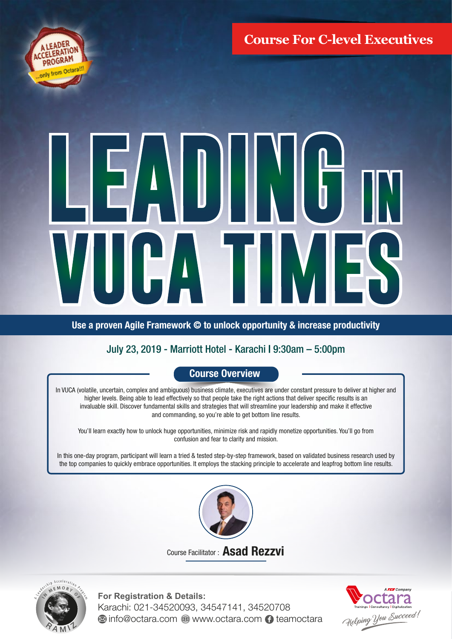**Course For C-level Executives**



# $\frac{1}{2}$ ı 6 J HAT

Use a proven Agile Framework © to unlock opportunity & increase productivity

# July 23, 2019 - Marriott Hotel - Karachi | 9:30am – 5:00pm

# Course Overview

In VUCA (volatile, uncertain, complex and ambiguous) business climate, executives are under constant pressure to deliver at higher and higher levels. Being able to lead effectively so that people take the right actions that deliver specific results is an invaluable skill. Discover fundamental skills and strategies that will streamline your leadership and make it effective and commanding, so you're able to get bottom line results.

You'll learn exactly how to unlock huge opportunities, minimize risk and rapidly monetize opportunities. You'll go from confusion and fear to clarity and mission.

In this one-day program, participant will learn a tried & tested step-by-step framework, based on validated business research used by the top companies to quickly embrace opportunities. It employs the stacking principle to accelerate and leapfrog bottom line results.



Course Facilitator : Asad Rezzvi



**For Registration & Details:** Karachi: 021-34520093, 34547141, 34520708 **Info@octara.com @ www.octara.com 1 teamoctara**